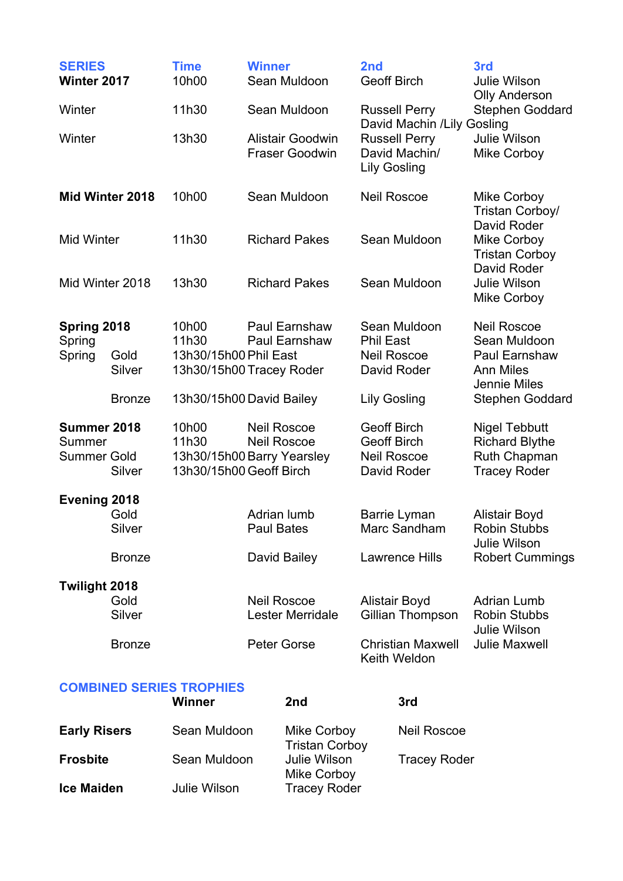| <b>SERIES</b><br>Winter 2017                     |                | <b>Time</b><br>10h00                                                    | <b>Winner</b><br>Sean Muldoon<br>Sean Muldoon |                                                             | 2nd<br><b>Geoff Birch</b>                                      |                                          | 3rd<br><b>Julie Wilson</b>                                                                     |  |
|--------------------------------------------------|----------------|-------------------------------------------------------------------------|-----------------------------------------------|-------------------------------------------------------------|----------------------------------------------------------------|------------------------------------------|------------------------------------------------------------------------------------------------|--|
| Winter                                           |                | 11h30                                                                   |                                               |                                                             | <b>Russell Perry</b><br>David Machin /Lily Gosling             |                                          | <b>Olly Anderson</b><br>Stephen Goddard                                                        |  |
| Winter                                           |                | 13h30                                                                   |                                               | <b>Alistair Goodwin</b><br><b>Fraser Goodwin</b>            | <b>Lily Gosling</b>                                            | <b>Russell Perry</b><br>David Machin/    | <b>Julie Wilson</b><br><b>Mike Corboy</b>                                                      |  |
| Mid Winter 2018                                  |                | 10h00                                                                   | Sean Muldoon                                  |                                                             | <b>Neil Roscoe</b>                                             |                                          | <b>Mike Corboy</b><br>Tristan Corboy/                                                          |  |
| <b>Mid Winter</b>                                |                | 11h30                                                                   |                                               | <b>Richard Pakes</b>                                        |                                                                | Sean Muldoon                             | David Roder<br>Mike Corboy<br><b>Tristan Corboy</b>                                            |  |
| Mid Winter 2018                                  |                | 13h30                                                                   |                                               | <b>Richard Pakes</b>                                        |                                                                | Sean Muldoon                             | David Roder<br><b>Julie Wilson</b><br><b>Mike Corboy</b>                                       |  |
| Spring 2018<br>Spring<br>Spring                  | Gold<br>Silver | 10h00<br>11h30<br>13h30/15h00 Phil East<br>13h30/15h00 Tracey Roder     |                                               | <b>Paul Earnshaw</b><br>Paul Earnshaw                       | <b>Phil East</b><br><b>Neil Roscoe</b>                         | Sean Muldoon<br>David Roder              | <b>Neil Roscoe</b><br>Sean Muldoon<br><b>Paul Earnshaw</b><br><b>Ann Miles</b><br>Jennie Miles |  |
|                                                  | <b>Bronze</b>  | 13h30/15h00 David Bailey                                                |                                               |                                                             | <b>Lily Gosling</b>                                            |                                          | <b>Stephen Goddard</b>                                                                         |  |
| Summer 2018<br>Summer<br><b>Summer Gold</b>      | Silver         | 10h00<br>11h30<br>13h30/15h00 Barry Yearsley<br>13h30/15h00 Geoff Birch | <b>Neil Roscoe</b><br><b>Neil Roscoe</b>      |                                                             | <b>Geoff Birch</b><br><b>Geoff Birch</b><br><b>Neil Roscoe</b> | David Roder                              | <b>Nigel Tebbutt</b><br><b>Richard Blythe</b><br>Ruth Chapman<br><b>Tracey Roder</b>           |  |
| <b>Evening 2018</b>                              |                |                                                                         |                                               |                                                             |                                                                |                                          |                                                                                                |  |
|                                                  | Gold<br>Silver |                                                                         | Adrian lumb<br><b>Paul Bates</b>              |                                                             | Barrie Lyman<br>Marc Sandham                                   |                                          | Alistair Boyd<br><b>Robin Stubbs</b><br><b>Julie Wilson</b>                                    |  |
|                                                  | <b>Bronze</b>  |                                                                         | David Bailey                                  |                                                             | <b>Lawrence Hills</b>                                          |                                          | <b>Robert Cummings</b>                                                                         |  |
| Twilight 2018                                    | Gold<br>Silver | <b>Neil Roscoe</b>                                                      |                                               | Lester Merridale                                            | <b>Alistair Boyd</b><br>Gillian Thompson                       |                                          | <b>Adrian Lumb</b><br><b>Robin Stubbs</b>                                                      |  |
|                                                  | <b>Bronze</b>  |                                                                         | Peter Gorse                                   |                                                             |                                                                | <b>Christian Maxwell</b><br>Keith Weldon | Julie Wilson<br><b>Julie Maxwell</b>                                                           |  |
| <b>COMBINED SERIES TROPHIES</b><br><b>Winner</b> |                |                                                                         | 2nd                                           |                                                             | 3rd                                                            |                                          |                                                                                                |  |
| <b>Early Risers</b>                              |                | Sean Muldoon                                                            |                                               | Mike Corboy                                                 |                                                                | <b>Neil Roscoe</b>                       |                                                                                                |  |
| <b>Frosbite</b>                                  |                | Sean Muldoon                                                            |                                               | <b>Tristan Corboy</b><br><b>Julie Wilson</b><br>Mike Corbov |                                                                | <b>Tracey Roder</b>                      |                                                                                                |  |

**Ice Maiden** Julie Wilson Tracey Roder

Mike Corboy